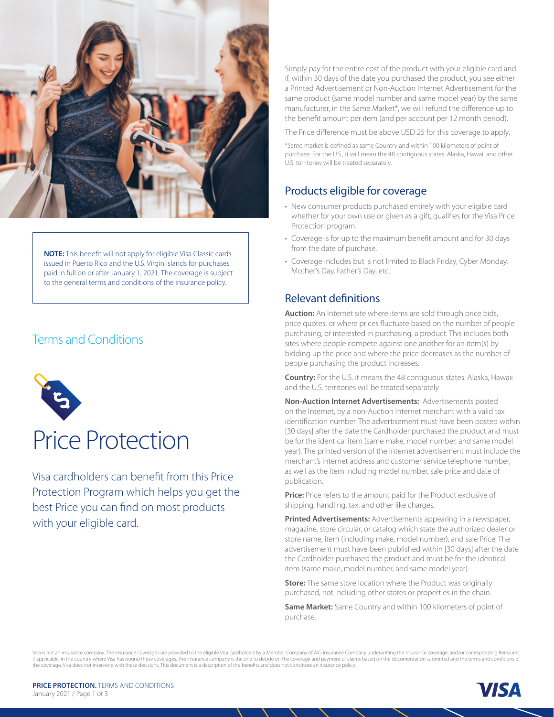

**NOTE:** This benefit will not apply for eligible Visa Classic cards issued in Puerto Rico and the U.S. Virgin Islands for purchases paid in full on or after January 1, 2021. The coverage is subject to the general terms and conditions of the insurance policy.

# Terms and Conditions



# Price Protection

Visa cardholders can benefit from this Price Protection Program which helps you get the best Price you can find on most products with your eligible card.

Simply pay for the entire cost of the product with your eligible card and if, within 30 days of the date you purchased the product, you see either a Printed Advertisement or Non-Auction Internet Advertisement for the same product (same model number and same model year) by the same manufacturer, in the Same Market\*, we will refund the difference up to the benefit amount per item (and per account per 12 month period).

The Price difference must be above USD 25 for this coverage to apply.

\*Same market is defined as same Country and within 100 kilometers of point of purchase. For the U.S., it will mean the 48 contiguous states. Alaska, Hawaii and other U.S. territories will be treated separately.

# Products eligible for coverage

- New consumer products purchased entirely with your eligible card whether for your own use or given as a gift, qualifies for the Visa Price Protection program.
- Coverage is for up to the maximum benefit amount and for 30 days from the date of purchase.
- Coverage includes but is not limited to Black Friday, Cyber Monday, Mother's Day, Father's Day, etc.

# Relevant definitions

**Auction:** An Internet site where items are sold through price bids, price quotes, or where prices fluctuate based on the number of people purchasing, or interested in purchasing, a product. This includes both sites where people compete against one another for an item(s) by bidding up the price and where the price decreases as the number of people purchasing the product increases.

**Country:** For the U.S. it means the 48 contiguous states. Alaska, Hawaii and the U.S. territories will be treated separately

**Non-Auction Internet Advertisements:** Advertisements posted on the Internet, by a non-Auction Internet merchant with a valid tax identification number. The advertisement must have been posted within [30 days] after the date the Cardholder purchased the product and must be for the identical item (same make, model number, and same model year). The printed version of the Internet advertisement must include the merchant's internet address and customer service telephone number, as well as the item including model number, sale price and date of publication.

**Price:** Price refers to the amount paid for the Product exclusive of shipping, handling, tax, and other like charges.

**Printed Advertisements:** Advertisements appearing in a newspaper, magazine, store circular, or catalog which state the authorized dealer or store name, item (including make, model number), and sale Price. The advertisement must have been published within [30 days] after the date the Cardholder purchased the product and must be for the identical item (same make, model number, and same model year).

**Store:** The same store location where the Product was originally purchased, not including other stores or properties in the chain.

**Same Market:** Same Country and within 100 kilometers of point of purchase.

Visa is not an insurance company. The insurance coverages are provided to the eligible Visa cardholders by a Member Company of AIG Insurance Company underwriting the Insurance coverage, and/or corresponding Reinsurer, if applicable, in the country where Visa has bound these coverages. The insurance company is the one to decide on the coverage and payment of claims based on the documentation submitted and the terms and conditions of the coverage. Visa does not intervene with these decisions. This document is a description of the benefits and does not constitute an insurance policy.

**PRICE PROTECTION.** TERMS AND CONDITIONS January 2021 / Page 1 of 3

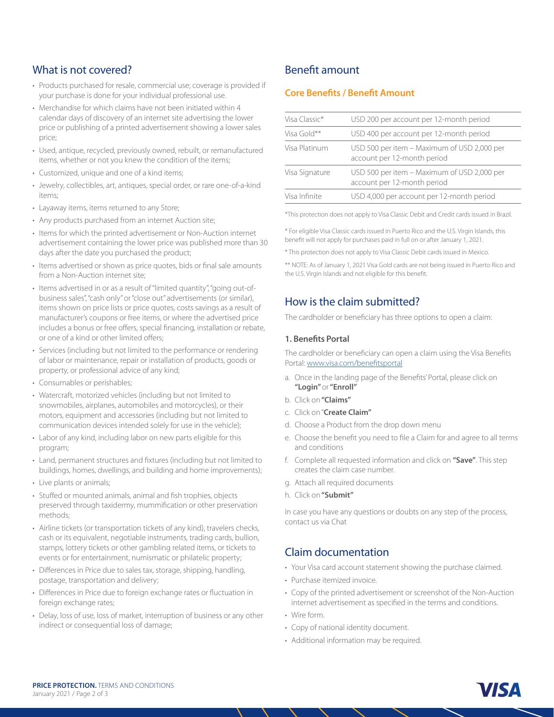### What is not covered?

- Products purchased for resale, commercial use; coverage is provided if your purchase is done for your individual professional use.
- Merchandise for which claims have not been initiated within 4 calendar days of discovery of an internet site advertising the lower price or publishing of a printed advertisement showing a lower sales price;
- Used, antique, recycled, previously owned, rebuilt, or remanufactured items, whether or not you knew the condition of the items;
- Customized, unique and one of a kind items;
- Jewelry, collectibles, art, antiques, special order, or rare one-of-a-kind items;
- Layaway items, items returned to any Store;
- Any products purchased from an internet Auction site;
- Items for which the printed advertisement or Non-Auction internet advertisement containing the lower price was published more than 30 days after the date you purchased the product;
- Items advertised or shown as price quotes, bids or final sale amounts from a Non-Auction internet site;
- Items advertised in or as a result of "limited quantity", "going out-ofbusiness sales", "cash only" or "close out" advertisements (or similar), items shown on price lists or price quotes, costs savings as a result of manufacturer's coupons or free items, or where the advertised price includes a bonus or free offers, special financing, installation or rebate, or one of a kind or other limited offers;
- Services (including but not limited to the performance or rendering of labor or maintenance, repair or installation of products, goods or property, or professional advice of any kind;
- Consumables or perishables;
- Watercraft, motorized vehicles (including but not limited to snowmobiles, airplanes, automobiles and motorcycles), or their motors, equipment and accessories (including but not limited to communication devices intended solely for use in the vehicle);
- Labor of any kind, including labor on new parts eligible for this program;
- Land, permanent structures and fixtures (including but not limited to buildings, homes, dwellings, and building and home improvements);
- Live plants or animals;
- Stuffed or mounted animals, animal and fish trophies, objects preserved through taxidermy, mummification or other preservation methods;
- Airline tickets (or transportation tickets of any kind), travelers checks, cash or its equivalent, negotiable instruments, trading cards, bullion, stamps, lottery tickets or other gambling related items, or tickets to events or for entertainment, numismatic or philatelic property;
- Differences in Price due to sales tax, storage, shipping, handling, postage, transportation and delivery;
- Differences in Price due to foreign exchange rates or fluctuation in foreign exchange rates;
- Delay, loss of use, loss of market, interruption of business or any other indirect or consequential loss of damage;

## Benefit amount

#### **Core Benefits / Benefit Amount**

| Visa Classic*  | USD 200 per account per 12-month period                                    |
|----------------|----------------------------------------------------------------------------|
| Visa Gold**    | USD 400 per account per 12-month period                                    |
| Visa Platinum  | USD 500 per item - Maximum of USD 2,000 per<br>account per 12-month period |
| Visa Signature | USD 500 per item - Maximum of USD 2,000 per<br>account per 12-month period |
| Visa Infinite  | USD 4,000 per account per 12-month period                                  |
|                |                                                                            |

\*This protection does not apply to Visa Classic Debit and Credit cards issued in Brazil.

\* For eligible Visa Classic cards issued in Puerto Rico and the U.S. Virgin Islands, this benefit will not apply for purchases paid in full on or after January 1, 2021.

\* This protection does not apply to Visa Classic Debit cards issued in Mexico.

\*\* NOTE: As of January 1, 2021 Visa Gold cards are not being issued in Puerto Rico and the U.S. Virgin Islands and not eligible for this benefit.

# How is the claim submitted?

The cardholder or beneficiary has three options to open a claim:

#### **1. Benefits Portal**

The cardholder or beneficiary can open a claim using the Visa Benefits Portal: www.visa.com/benefitsportal

- a. Once in the landing page of the Benefits' Portal, please click on **"Login"** or **"Enroll"**
- b. Click on **"Claims"**
- c. Click on "**Create Claim"**
- d. Choose a Product from the drop down menu
- e. Choose the benefit you need to file a Claim for and agree to all terms and conditions
- f. Complete all requested information and click on **"Save"**. This step creates the claim case number.
- g. Attach all required documents
- h. Click on **"Submit"**

In case you have any questions or doubts on any step of the process, contact us via Chat

# Claim documentation

- Your Visa card account statement showing the purchase claimed.
- Purchase itemized invoice.
- Copy of the printed advertisement or screenshot of the Non-Auction internet advertisement as specified in the terms and conditions.
- Wire form.
- Copy of national identity document.
- Additional information may be required.